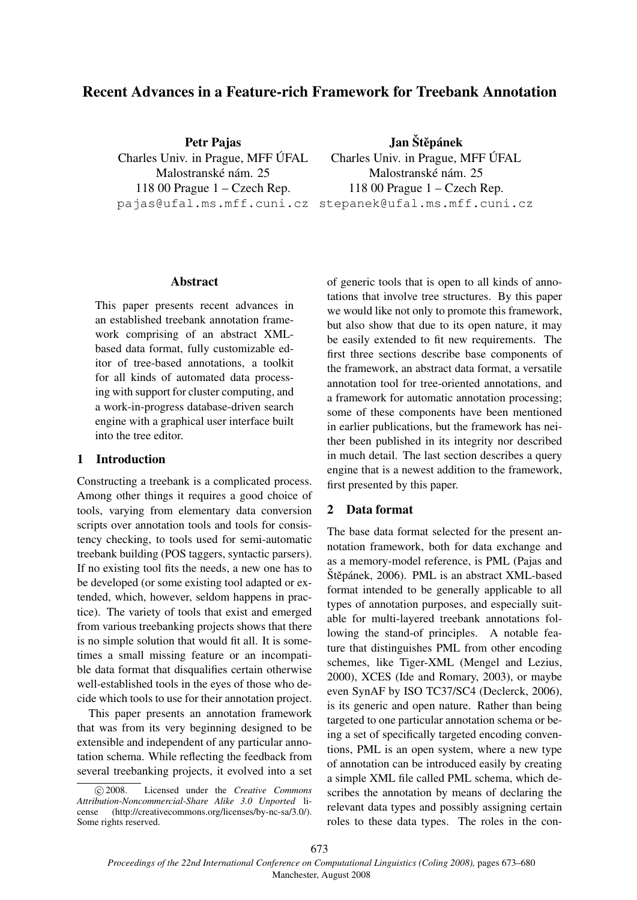# Recent Advances in a Feature-rich Framework for Treebank Annotation

Petr Pajas Charles Univ. in Prague, MFF ÚFAL Malostranské nám. 25 118 00 Prague 1 – Czech Rep.

pajas@ufal.ms.mff.cuni.cz stepanek@ufal.ms.mff.cuni.cz Jan Štěpánek Charles Univ. in Prague, MFF ÚFAL Malostranské nám. 25 118 00 Prague 1 – Czech Rep.

#### Abstract

This paper presents recent advances in an established treebank annotation framework comprising of an abstract XMLbased data format, fully customizable editor of tree-based annotations, a toolkit for all kinds of automated data processing with support for cluster computing, and a work-in-progress database-driven search engine with a graphical user interface built into the tree editor.

#### 1 Introduction

Constructing a treebank is a complicated process. Among other things it requires a good choice of tools, varying from elementary data conversion scripts over annotation tools and tools for consistency checking, to tools used for semi-automatic treebank building (POS taggers, syntactic parsers). If no existing tool fits the needs, a new one has to be developed (or some existing tool adapted or extended, which, however, seldom happens in practice). The variety of tools that exist and emerged from various treebanking projects shows that there is no simple solution that would fit all. It is sometimes a small missing feature or an incompatible data format that disqualifies certain otherwise well-established tools in the eyes of those who decide which tools to use for their annotation project.

This paper presents an annotation framework that was from its very beginning designed to be extensible and independent of any particular annotation schema. While reflecting the feedback from several treebanking projects, it evolved into a set of generic tools that is open to all kinds of annotations that involve tree structures. By this paper we would like not only to promote this framework, but also show that due to its open nature, it may be easily extended to fit new requirements. The first three sections describe base components of the framework, an abstract data format, a versatile annotation tool for tree-oriented annotations, and a framework for automatic annotation processing; some of these components have been mentioned in earlier publications, but the framework has neither been published in its integrity nor described in much detail. The last section describes a query engine that is a newest addition to the framework, first presented by this paper.

#### 2 Data format

The base data format selected for the present annotation framework, both for data exchange and as a memory-model reference, is PML (Pajas and Stěpánek, 2006). PML is an abstract XML-based format intended to be generally applicable to all types of annotation purposes, and especially suitable for multi-layered treebank annotations following the stand-of principles. A notable feature that distinguishes PML from other encoding schemes, like Tiger-XML (Mengel and Lezius, 2000), XCES (Ide and Romary, 2003), or maybe even SynAF by ISO TC37/SC4 (Declerck, 2006), is its generic and open nature. Rather than being targeted to one particular annotation schema or being a set of specifically targeted encoding conventions, PML is an open system, where a new type of annotation can be introduced easily by creating a simple XML file called PML schema, which describes the annotation by means of declaring the relevant data types and possibly assigning certain roles to these data types. The roles in the con-

c 2008. Licensed under the *Creative Commons Attribution-Noncommercial-Share Alike 3.0 Unported* license (http://creativecommons.org/licenses/by-nc-sa/3.0/). Some rights reserved.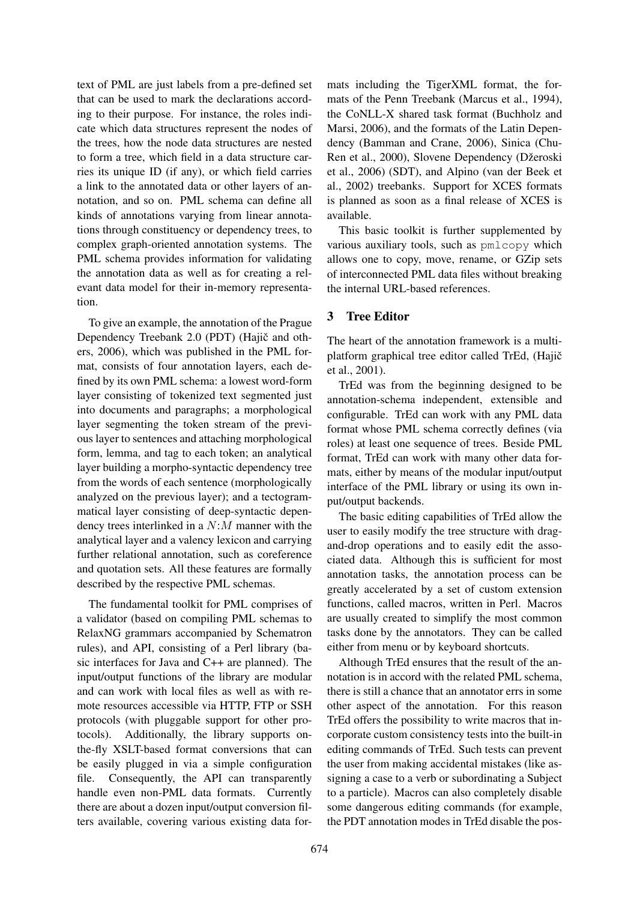text of PML are just labels from a pre-defined set that can be used to mark the declarations according to their purpose. For instance, the roles indicate which data structures represent the nodes of the trees, how the node data structures are nested to form a tree, which field in a data structure carries its unique ID (if any), or which field carries a link to the annotated data or other layers of annotation, and so on. PML schema can define all kinds of annotations varying from linear annotations through constituency or dependency trees, to complex graph-oriented annotation systems. The PML schema provides information for validating the annotation data as well as for creating a relevant data model for their in-memory representation.

To give an example, the annotation of the Prague Dependency Treebank 2.0 (PDT) (Hajič and others, 2006), which was published in the PML format, consists of four annotation layers, each defined by its own PML schema: a lowest word-form layer consisting of tokenized text segmented just into documents and paragraphs; a morphological layer segmenting the token stream of the previous layer to sentences and attaching morphological form, lemma, and tag to each token; an analytical layer building a morpho-syntactic dependency tree from the words of each sentence (morphologically analyzed on the previous layer); and a tectogrammatical layer consisting of deep-syntactic dependency trees interlinked in a  $N:M$  manner with the analytical layer and a valency lexicon and carrying further relational annotation, such as coreference and quotation sets. All these features are formally described by the respective PML schemas.

The fundamental toolkit for PML comprises of a validator (based on compiling PML schemas to RelaxNG grammars accompanied by Schematron rules), and API, consisting of a Perl library (basic interfaces for Java and C++ are planned). The input/output functions of the library are modular and can work with local files as well as with remote resources accessible via HTTP, FTP or SSH protocols (with pluggable support for other protocols). Additionally, the library supports onthe-fly XSLT-based format conversions that can be easily plugged in via a simple configuration file. Consequently, the API can transparently handle even non-PML data formats. Currently there are about a dozen input/output conversion filters available, covering various existing data formats including the TigerXML format, the formats of the Penn Treebank (Marcus et al., 1994), the CoNLL-X shared task format (Buchholz and Marsi, 2006), and the formats of the Latin Dependency (Bamman and Crane, 2006), Sinica (Chu-Ren et al., 2000), Slovene Dependency (Džeroski et al., 2006) (SDT), and Alpino (van der Beek et al., 2002) treebanks. Support for XCES formats is planned as soon as a final release of XCES is available.

This basic toolkit is further supplemented by various auxiliary tools, such as pmlcopy which allows one to copy, move, rename, or GZip sets of interconnected PML data files without breaking the internal URL-based references.

# 3 Tree Editor

The heart of the annotation framework is a multiplatform graphical tree editor called TrEd, (Hajič et al., 2001).

TrEd was from the beginning designed to be annotation-schema independent, extensible and configurable. TrEd can work with any PML data format whose PML schema correctly defines (via roles) at least one sequence of trees. Beside PML format, TrEd can work with many other data formats, either by means of the modular input/output interface of the PML library or using its own input/output backends.

The basic editing capabilities of TrEd allow the user to easily modify the tree structure with dragand-drop operations and to easily edit the associated data. Although this is sufficient for most annotation tasks, the annotation process can be greatly accelerated by a set of custom extension functions, called macros, written in Perl. Macros are usually created to simplify the most common tasks done by the annotators. They can be called either from menu or by keyboard shortcuts.

Although TrEd ensures that the result of the annotation is in accord with the related PML schema, there is still a chance that an annotator errs in some other aspect of the annotation. For this reason TrEd offers the possibility to write macros that incorporate custom consistency tests into the built-in editing commands of TrEd. Such tests can prevent the user from making accidental mistakes (like assigning a case to a verb or subordinating a Subject to a particle). Macros can also completely disable some dangerous editing commands (for example, the PDT annotation modes in TrEd disable the pos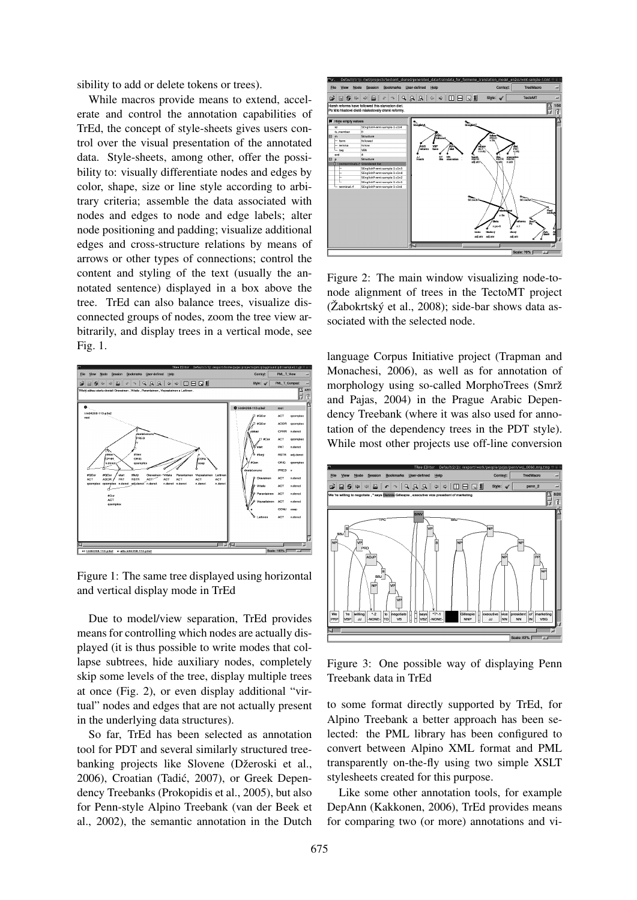sibility to add or delete tokens or trees).

While macros provide means to extend, accelerate and control the annotation capabilities of TrEd, the concept of style-sheets gives users control over the visual presentation of the annotated data. Style-sheets, among other, offer the possibility to: visually differentiate nodes and edges by color, shape, size or line style according to arbitrary criteria; assemble the data associated with nodes and edges to node and edge labels; alter node positioning and padding; visualize additional edges and cross-structure relations by means of arrows or other types of connections; control the content and styling of the text (usually the annotated sentence) displayed in a box above the tree. TrEd can also balance trees, visualize disconnected groups of nodes, zoom the tree view arbitrarily, and display trees in a vertical mode, see Fig. 1.



Figure 1: The same tree displayed using horizontal and vertical display mode in TrEd

Due to model/view separation, TrEd provides means for controlling which nodes are actually displayed (it is thus possible to write modes that collapse subtrees, hide auxiliary nodes, completely skip some levels of the tree, display multiple trees at once (Fig. 2), or even display additional "virtual" nodes and edges that are not actually present in the underlying data structures).

So far, TrEd has been selected as annotation tool for PDT and several similarly structured treebanking projects like Slovene (Džeroski et al., 2006), Croatian (Tadić, 2007), or Greek Dependency Treebanks (Prokopidis et al., 2005), but also for Penn-style Alpino Treebank (van der Beek et al., 2002), the semantic annotation in the Dutch



Figure 2: The main window visualizing node-tonode alignment of trees in the TectoMT project  $(Zabokrtský et al., 2008)$ ; side-bar shows data associated with the selected node.

language Corpus Initiative project (Trapman and Monachesi, 2006), as well as for annotation of morphology using so-called MorphoTrees (Smrž and Pajas, 2004) in the Prague Arabic Dependency Treebank (where it was also used for annotation of the dependency trees in the PDT style). While most other projects use off-line conversion



Figure 3: One possible way of displaying Penn Treebank data in TrEd

to some format directly supported by TrEd, for Alpino Treebank a better approach has been selected: the PML library has been configured to convert between Alpino XML format and PML transparently on-the-fly using two simple XSLT stylesheets created for this purpose.

Like some other annotation tools, for example DepAnn (Kakkonen, 2006), TrEd provides means for comparing two (or more) annotations and vi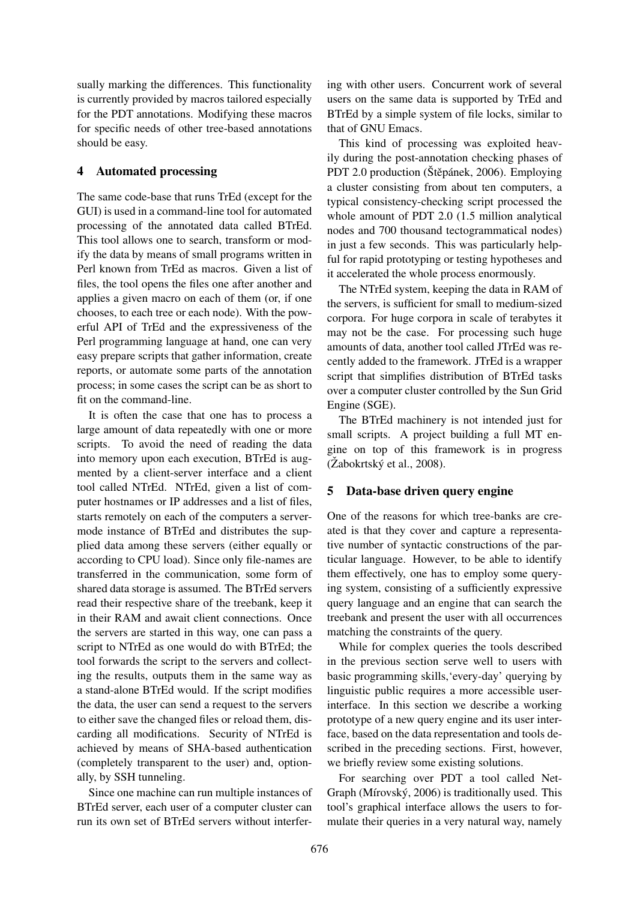sually marking the differences. This functionality is currently provided by macros tailored especially for the PDT annotations. Modifying these macros for specific needs of other tree-based annotations should be easy.

## 4 Automated processing

The same code-base that runs TrEd (except for the GUI) is used in a command-line tool for automated processing of the annotated data called BTrEd. This tool allows one to search, transform or modify the data by means of small programs written in Perl known from TrEd as macros. Given a list of files, the tool opens the files one after another and applies a given macro on each of them (or, if one chooses, to each tree or each node). With the powerful API of TrEd and the expressiveness of the Perl programming language at hand, one can very easy prepare scripts that gather information, create reports, or automate some parts of the annotation process; in some cases the script can be as short to fit on the command-line.

It is often the case that one has to process a large amount of data repeatedly with one or more scripts. To avoid the need of reading the data into memory upon each execution, BTrEd is augmented by a client-server interface and a client tool called NTrEd. NTrEd, given a list of computer hostnames or IP addresses and a list of files, starts remotely on each of the computers a servermode instance of BTrEd and distributes the supplied data among these servers (either equally or according to CPU load). Since only file-names are transferred in the communication, some form of shared data storage is assumed. The BTrEd servers read their respective share of the treebank, keep it in their RAM and await client connections. Once the servers are started in this way, one can pass a script to NTrEd as one would do with BTrEd; the tool forwards the script to the servers and collecting the results, outputs them in the same way as a stand-alone BTrEd would. If the script modifies the data, the user can send a request to the servers to either save the changed files or reload them, discarding all modifications. Security of NTrEd is achieved by means of SHA-based authentication (completely transparent to the user) and, optionally, by SSH tunneling.

Since one machine can run multiple instances of BTrEd server, each user of a computer cluster can run its own set of BTrEd servers without interfering with other users. Concurrent work of several users on the same data is supported by TrEd and BTrEd by a simple system of file locks, similar to that of GNU Emacs.

This kind of processing was exploited heavily during the post-annotation checking phases of PDT 2.0 production (Štěpánek, 2006). Employing a cluster consisting from about ten computers, a typical consistency-checking script processed the whole amount of PDT 2.0 (1.5 million analytical nodes and 700 thousand tectogrammatical nodes) in just a few seconds. This was particularly helpful for rapid prototyping or testing hypotheses and it accelerated the whole process enormously.

The NTrEd system, keeping the data in RAM of the servers, is sufficient for small to medium-sized corpora. For huge corpora in scale of terabytes it may not be the case. For processing such huge amounts of data, another tool called JTrEd was recently added to the framework. JTrEd is a wrapper script that simplifies distribution of BTrEd tasks over a computer cluster controlled by the Sun Grid Engine (SGE).

The BTrEd machinery is not intended just for small scripts. A project building a full MT engine on top of this framework is in progress  $(\check{Z}$ abokrtský et al., 2008).

## 5 Data-base driven query engine

One of the reasons for which tree-banks are created is that they cover and capture a representative number of syntactic constructions of the particular language. However, to be able to identify them effectively, one has to employ some querying system, consisting of a sufficiently expressive query language and an engine that can search the treebank and present the user with all occurrences matching the constraints of the query.

While for complex queries the tools described in the previous section serve well to users with basic programming skills,'every-day' querying by linguistic public requires a more accessible userinterface. In this section we describe a working prototype of a new query engine and its user interface, based on the data representation and tools described in the preceding sections. First, however, we briefly review some existing solutions.

For searching over PDT a tool called Net-Graph (Mírovský, 2006) is traditionally used. This tool's graphical interface allows the users to formulate their queries in a very natural way, namely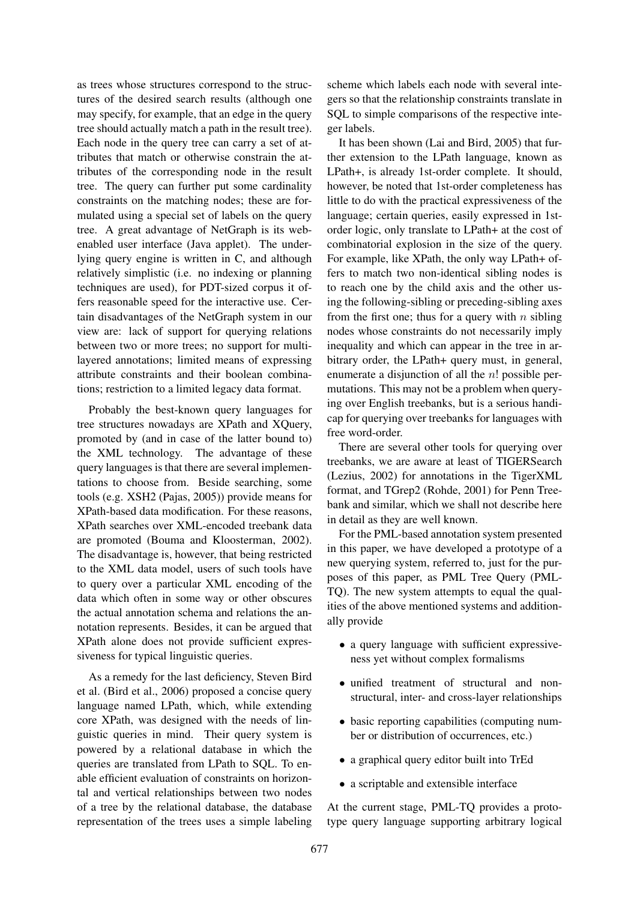as trees whose structures correspond to the structures of the desired search results (although one may specify, for example, that an edge in the query tree should actually match a path in the result tree). Each node in the query tree can carry a set of attributes that match or otherwise constrain the attributes of the corresponding node in the result tree. The query can further put some cardinality constraints on the matching nodes; these are formulated using a special set of labels on the query tree. A great advantage of NetGraph is its webenabled user interface (Java applet). The underlying query engine is written in C, and although relatively simplistic (i.e. no indexing or planning techniques are used), for PDT-sized corpus it offers reasonable speed for the interactive use. Certain disadvantages of the NetGraph system in our view are: lack of support for querying relations between two or more trees; no support for multilayered annotations; limited means of expressing attribute constraints and their boolean combinations; restriction to a limited legacy data format.

Probably the best-known query languages for tree structures nowadays are XPath and XQuery, promoted by (and in case of the latter bound to) the XML technology. The advantage of these query languages is that there are several implementations to choose from. Beside searching, some tools (e.g. XSH2 (Pajas, 2005)) provide means for XPath-based data modification. For these reasons, XPath searches over XML-encoded treebank data are promoted (Bouma and Kloosterman, 2002). The disadvantage is, however, that being restricted to the XML data model, users of such tools have to query over a particular XML encoding of the data which often in some way or other obscures the actual annotation schema and relations the annotation represents. Besides, it can be argued that XPath alone does not provide sufficient expressiveness for typical linguistic queries.

As a remedy for the last deficiency, Steven Bird et al. (Bird et al., 2006) proposed a concise query language named LPath, which, while extending core XPath, was designed with the needs of linguistic queries in mind. Their query system is powered by a relational database in which the queries are translated from LPath to SQL. To enable efficient evaluation of constraints on horizontal and vertical relationships between two nodes of a tree by the relational database, the database representation of the trees uses a simple labeling

scheme which labels each node with several integers so that the relationship constraints translate in SQL to simple comparisons of the respective integer labels.

It has been shown (Lai and Bird, 2005) that further extension to the LPath language, known as LPath+, is already 1st-order complete. It should, however, be noted that 1st-order completeness has little to do with the practical expressiveness of the language; certain queries, easily expressed in 1storder logic, only translate to LPath+ at the cost of combinatorial explosion in the size of the query. For example, like XPath, the only way LPath+ offers to match two non-identical sibling nodes is to reach one by the child axis and the other using the following-sibling or preceding-sibling axes from the first one; thus for a query with  $n$  sibling nodes whose constraints do not necessarily imply inequality and which can appear in the tree in arbitrary order, the LPath+ query must, in general, enumerate a disjunction of all the  $n!$  possible permutations. This may not be a problem when querying over English treebanks, but is a serious handicap for querying over treebanks for languages with free word-order.

There are several other tools for querying over treebanks, we are aware at least of TIGERSearch (Lezius, 2002) for annotations in the TigerXML format, and TGrep2 (Rohde, 2001) for Penn Treebank and similar, which we shall not describe here in detail as they are well known.

For the PML-based annotation system presented in this paper, we have developed a prototype of a new querying system, referred to, just for the purposes of this paper, as PML Tree Query (PML-TQ). The new system attempts to equal the qualities of the above mentioned systems and additionally provide

- a query language with sufficient expressiveness yet without complex formalisms
- unified treatment of structural and nonstructural, inter- and cross-layer relationships
- basic reporting capabilities (computing number or distribution of occurrences, etc.)
- a graphical query editor built into TrEd
- a scriptable and extensible interface

At the current stage, PML-TQ provides a prototype query language supporting arbitrary logical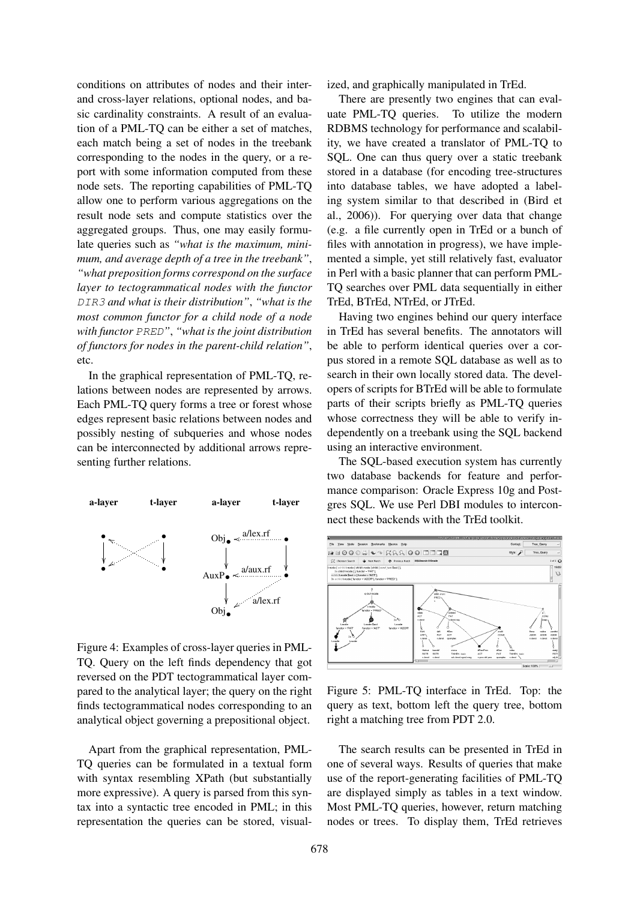conditions on attributes of nodes and their interand cross-layer relations, optional nodes, and basic cardinality constraints. A result of an evaluation of a PML-TQ can be either a set of matches, each match being a set of nodes in the treebank corresponding to the nodes in the query, or a report with some information computed from these node sets. The reporting capabilities of PML-TQ allow one to perform various aggregations on the result node sets and compute statistics over the aggregated groups. Thus, one may easily formulate queries such as *"what is the maximum, minimum, and average depth of a tree in the treebank"*, *"what preposition forms correspond on the surface layer to tectogrammatical nodes with the functor* DIR3 *and what is their distribution"*, *"what is the most common functor for a child node of a node with functor* PRED*"*, *"what is the joint distribution of functors for nodes in the parent-child relation"*, etc.

In the graphical representation of PML-TQ, relations between nodes are represented by arrows. Each PML-TQ query forms a tree or forest whose edges represent basic relations between nodes and possibly nesting of subqueries and whose nodes can be interconnected by additional arrows representing further relations.



Figure 4: Examples of cross-layer queries in PML-TQ. Query on the left finds dependency that got reversed on the PDT tectogrammatical layer compared to the analytical layer; the query on the right finds tectogrammatical nodes corresponding to an analytical object governing a prepositional object.

Apart from the graphical representation, PML-TQ queries can be formulated in a textual form with syntax resembling XPath (but substantially more expressive). A query is parsed from this syntax into a syntactic tree encoded in PML; in this representation the queries can be stored, visualized, and graphically manipulated in TrEd.

There are presently two engines that can evaluate PML-TQ queries. To utilize the modern RDBMS technology for performance and scalability, we have created a translator of PML-TQ to SQL. One can thus query over a static treebank stored in a database (for encoding tree-structures into database tables, we have adopted a labeling system similar to that described in (Bird et al., 2006)). For querying over data that change (e.g. a file currently open in TrEd or a bunch of files with annotation in progress), we have implemented a simple, yet still relatively fast, evaluator in Perl with a basic planner that can perform PML-TQ searches over PML data sequentially in either TrEd, BTrEd, NTrEd, or JTrEd.

Having two engines behind our query interface in TrEd has several benefits. The annotators will be able to perform identical queries over a corpus stored in a remote SQL database as well as to search in their own locally stored data. The developers of scripts for BTrEd will be able to formulate parts of their scripts briefly as PML-TQ queries whose correctness they will be able to verify independently on a treebank using the SQL backend using an interactive environment.

The SQL-based execution system has currently two database backends for feature and performance comparison: Oracle Express 10g and Postgres SQL. We use Perl DBI modules to interconnect these backends with the TrEd toolkit.



Figure 5: PML-TQ interface in TrEd. Top: the query as text, bottom left the query tree, bottom right a matching tree from PDT 2.0.

The search results can be presented in TrEd in one of several ways. Results of queries that make use of the report-generating facilities of PML-TQ are displayed simply as tables in a text window. Most PML-TQ queries, however, return matching nodes or trees. To display them, TrEd retrieves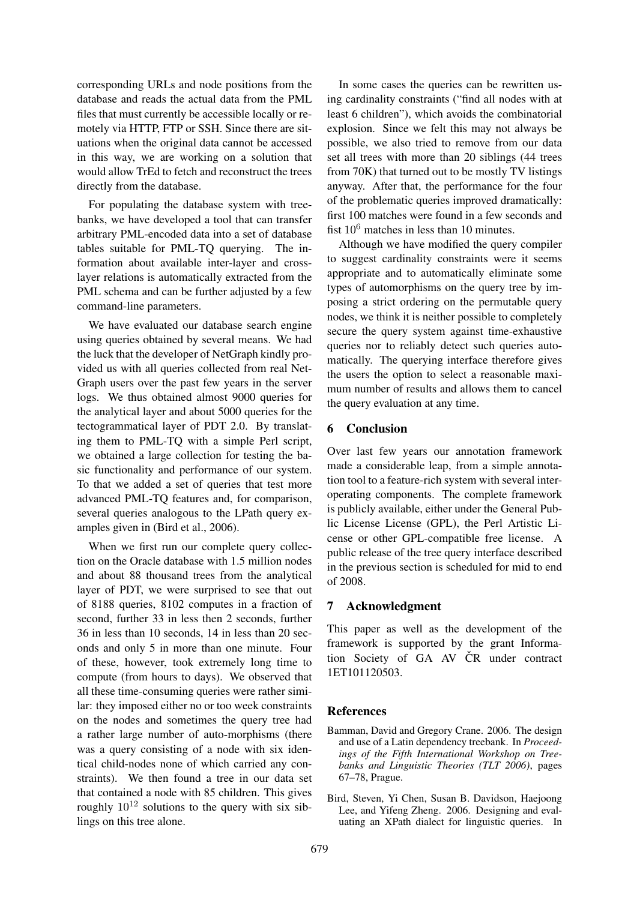corresponding URLs and node positions from the database and reads the actual data from the PML files that must currently be accessible locally or remotely via HTTP, FTP or SSH. Since there are situations when the original data cannot be accessed in this way, we are working on a solution that would allow TrEd to fetch and reconstruct the trees directly from the database.

For populating the database system with treebanks, we have developed a tool that can transfer arbitrary PML-encoded data into a set of database tables suitable for PML-TQ querying. The information about available inter-layer and crosslayer relations is automatically extracted from the PML schema and can be further adjusted by a few command-line parameters.

We have evaluated our database search engine using queries obtained by several means. We had the luck that the developer of NetGraph kindly provided us with all queries collected from real Net-Graph users over the past few years in the server logs. We thus obtained almost 9000 queries for the analytical layer and about 5000 queries for the tectogrammatical layer of PDT 2.0. By translating them to PML-TQ with a simple Perl script, we obtained a large collection for testing the basic functionality and performance of our system. To that we added a set of queries that test more advanced PML-TQ features and, for comparison, several queries analogous to the LPath query examples given in (Bird et al., 2006).

When we first run our complete query collection on the Oracle database with 1.5 million nodes and about 88 thousand trees from the analytical layer of PDT, we were surprised to see that out of 8188 queries, 8102 computes in a fraction of second, further 33 in less then 2 seconds, further 36 in less than 10 seconds, 14 in less than 20 seconds and only 5 in more than one minute. Four of these, however, took extremely long time to compute (from hours to days). We observed that all these time-consuming queries were rather similar: they imposed either no or too week constraints on the nodes and sometimes the query tree had a rather large number of auto-morphisms (there was a query consisting of a node with six identical child-nodes none of which carried any constraints). We then found a tree in our data set that contained a node with 85 children. This gives roughly  $10^{12}$  solutions to the query with six siblings on this tree alone.

In some cases the queries can be rewritten using cardinality constraints ("find all nodes with at least 6 children"), which avoids the combinatorial explosion. Since we felt this may not always be possible, we also tried to remove from our data set all trees with more than 20 siblings (44 trees from 70K) that turned out to be mostly TV listings anyway. After that, the performance for the four of the problematic queries improved dramatically: first 100 matches were found in a few seconds and fist  $10^6$  matches in less than 10 minutes.

Although we have modified the query compiler to suggest cardinality constraints were it seems appropriate and to automatically eliminate some types of automorphisms on the query tree by imposing a strict ordering on the permutable query nodes, we think it is neither possible to completely secure the query system against time-exhaustive queries nor to reliably detect such queries automatically. The querying interface therefore gives the users the option to select a reasonable maximum number of results and allows them to cancel the query evaluation at any time.

## 6 Conclusion

Over last few years our annotation framework made a considerable leap, from a simple annotation tool to a feature-rich system with several interoperating components. The complete framework is publicly available, either under the General Public License License (GPL), the Perl Artistic License or other GPL-compatible free license. A public release of the tree query interface described in the previous section is scheduled for mid to end of 2008.

#### 7 Acknowledgment

This paper as well as the development of the framework is supported by the grant Information Society of GA AV CR under contract 1ET101120503.

#### References

- Bamman, David and Gregory Crane. 2006. The design and use of a Latin dependency treebank. In *Proceedings of the Fifth International Workshop on Treebanks and Linguistic Theories (TLT 2006)*, pages 67–78, Prague.
- Bird, Steven, Yi Chen, Susan B. Davidson, Haejoong Lee, and Yifeng Zheng. 2006. Designing and evaluating an XPath dialect for linguistic queries. In